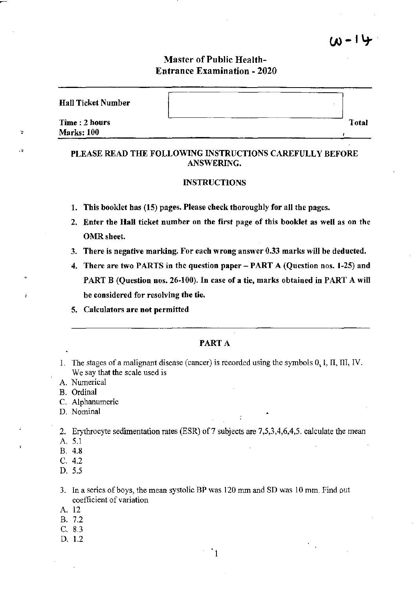# Master of Public Health-Entrance Examination - 2020

14 - ا

| <b>Hall Ticket Number</b>          |       |
|------------------------------------|-------|
| Time: 2 hours<br><b>Marks: 100</b> | Total |

# PLEASE READ THE FOLLOWING INSTRUCTIONS CAREFULLY BEFORE ANSWERING.

## INSTRUCTIONS

- 1. This booklet has (15) pages. Please check thoroughly for all the pages.
- 2. Enter the Hall ticket number on the first page of this booklet as well as on the OMR sheet.
- 3. There is negative marking. For each wrong answer 0.33 marks will be deducted.
- 4. There are two PARTS in the question paper PART A (Question nos. 1-25) and PART B (Question nos. 26-100). In case of a tie, marks obtained in PART A will be considered for resolving the tie.
- 5. Calculators are not permitted

#### PART A

1. The stages of a malignant disease (cancer) is recorded using the symbols  $0, 1$ , II, III, IV. We say that the scale used is

A. Numerical

B. Ordinal

÷

 $\cdot$ 

š

C. Alphanumeric

D. Nominal

2. Erythrocyte sedimentation rates (ESR) of 7 subjects are 7,5,3,4,6,4,5. calculate the mean

- A. 5.1
- B. 4.8
- C. 4.2
- D. 5.5

3. In a series of boys, the mean systolic BP was 120 mm and SD was 10 mm. Find out coefficient of variation

- A. 12
- B. 7.2

C. 8.3

D. 1.2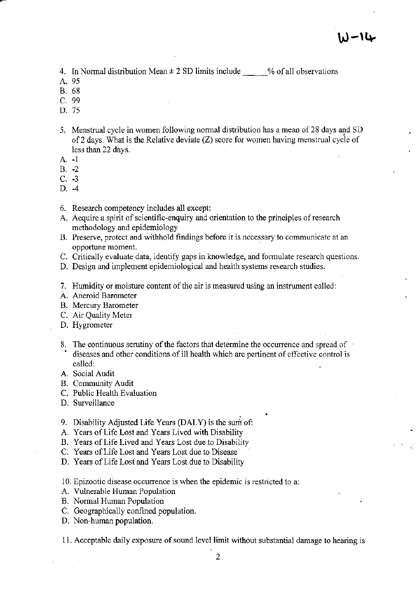4. In Normal distribution Mean  $\pm 2$  SD limits include  $\mu$  % of all observations

- A.95
- B. 68
- C. 99
- D. 75
- 5. Menstrual cycle in women following normal distribution has a mean of 28 days and SD of2 days. What is the Relative deviate (Z) score for women having menstrual cycle of less than 22 days.
- A. -1
- B. -2
- C. -3
- D. -4
- 6. Research competency includes all except:
- A. Acquire a spirit of scientific-enquiry and orientation to the principles of research methodology and epidemiology
- B. Preserve, protect and withhold findings before it is necessary to communicate at an opportune moment.
- C. Critically evaluate data, identify gaps in knowledge, and fonnulate research questions.
- D. Design and implement epidemiological and health systems research studies.
- 7. Humidity or moisture content of the air is measured using an instrument called:
- A. Aneroid Barometer
- B. Mercury Barometer
- C. Air Quality Meter
- D. Hygrometer
- 8. The continuous scrutiny of the factors that determine the occurrence and spread of diseases and other conditions of ill health which are pertinent of effective control is called:
- A. Social Audit
- B. Community Audit
- C. Public Health Evaluation
- D. Surveillance
- 9. Disability Adjusted Life Years (DALY) is the sum of:
- A. Years of Life Lost and Years Lived with Disability
- B. Years of Life Lived and Years Lost due to Disability
- C. Years of Life Lost and Years Lost due to Disease
- D. Years of Life Lost and Years Lost due to Disability
- 10. Epizootic disease occurrence is when the epidemic is restricted to a:
- A. Vulnerable Human Population
- B. Normal Human Population
- C. Geographically confmed population.
- D. Non-human population.

11. Acceptable daily exposure of sound level limit without substantial damage to hearing is

2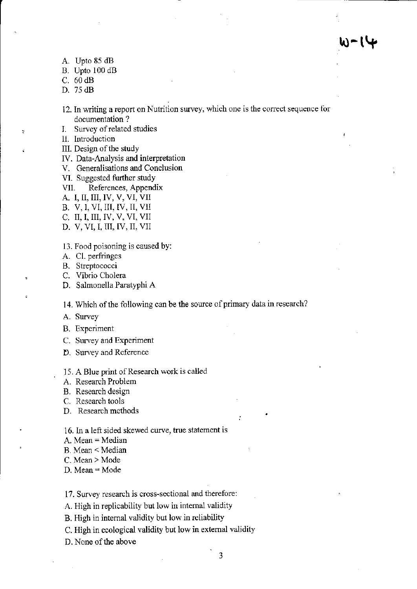- A. Upto 85 dB
- B. Upto 100 dB
- C. 60 dB
- D. 75 dB

,

- 12. In writing a report on Nutrition survey, which one is the correct sequence for documentation?
- I. Survey of related studies
- 11. Introduction
- Ill. Design of the study
- IV. Data-Analysis and interpretation
- V. Generalisations and Conclusion
- VI. Suggested further study
- VII. References, Appendix
- A. I, II, III, IV, V, VI, VII
- B. V, 1, VI, III, IV, II, VII
- C. II, I, III, IV, V, VI, VII
- D. V, VI, I, III, IV, II, VII
- 13. Food poisoning is caused by:
- A. Cl. perfringes
- B. Streptococci
- C. Vibrio Cholera
- D. Salmonella Paratyphi A

14. Which of the following can be the source of primary data in research?

- A. Survey
- B. Experiment
- C. Survey and Experiment
- D. Survey and Reference

15. A Blue print of Research work is called

- A. Research Problem
- B. Research design
- C. Research tools
- D. Research methods
- 16. In a left sided skewed curve, true statement is
- A. Mean = Median
- B. Mean < Median
- C. Mean> Mode
- $D. Mean = Mode$

17. Survey research is cross-sectional and therefore:

- A. High in replicability but low in internal validity
- B. High in internal validity but low in reliability
- c. High in ecological validity but low in external validity
- D. None of the above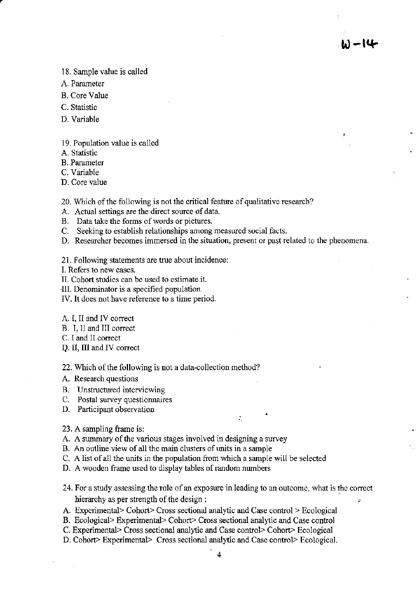**W-I4-**

18. Sample value is called

- A. Parameter
- B. Core Value
- C. Statistic
- D. Variable

19. Population value is called

A. Statistic

B. Parameter

C. Variable

D. Core value

20. Which of the following is not the critical feature of qualitative research?

- A. Actual settings are the direct source of data.
- B. Data take the forms of words or pictures.
- C. Seeking to establish relationships among measured social facts.

D. Researcher becomes immersed in the situation, present or past related to the phenomena.

21. Following statements are true about incidence:

- 1. Refers to new cases.
- II. Cohort studies can be used to estimate it.
- -III. Denominator is a specified population.
- IV. It does not have reference to a time period.
- A. I, II and IV correct
- B. I, 11 and III correct
- C. I and II correct
- Q. II, III and IV correct

22. Which of the following is not a data-collection method?

- A. Research questions
- B. Unstructured interviewing
- C. Postal survey questionnaires
- D. Participant observation

23. A sampling frame is:

- A. A summary of the various stages involved in designing a survey
- B. An outline view of all the main clusters of units in a sample
- C. A list of all the units in the population from which a sample will be selected
- D. A wooden frame used to display tables of random numbers
- 24. For a study assessing the role of an exposure in leading to an outcome, what is the correct hierarchy as per strength of the design :  $\blacksquare$

÷.

- A. Experimental> Cohort> Cross sectional analytic and Case control> Ecological
- B. Ecological> Experimental> Cohort> Cross sectional analytic and Case control
- C. Experimental> Cross sectional analytic and Case control> Cohort> Ecological
- D. Cohort> Experimental> Cross sectional analytic and Case control> Ecological.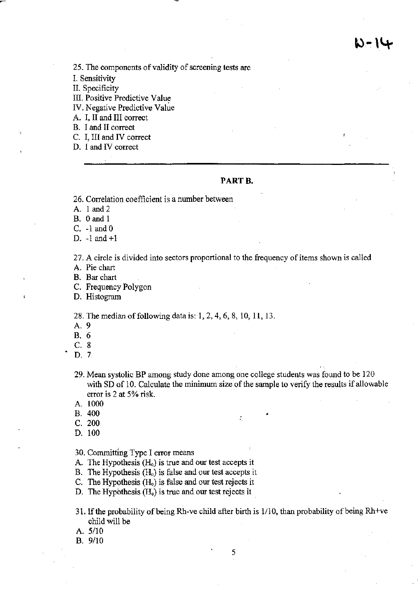14- ال

**25. The components** of validity of screening **tests are** 

I. Sensitivity

II. Specificity

**III. Positive Predictive Value** 

**IV. Negative Predictive Value** 

A. I, II and III correct

B. I and II correct

C. I, III and IV correct

**D. I and IV correct** 

# **PARTB,**

**26. Correlation coefficient is a number between** 

A. 1 and 2

B. 0 and 1

C.  $-1$  and  $0$ 

D. -1 and +1

**27. A circle is divided into sectors proportional to the frequency** of items **shown is called**  A. Pie chart

B. Bar chart

**C. Frequency Polygon** 

**D. Histogram** 

28. The median of following data is: 1,2,4,6,8,10,11,13.

A. 9

B. 6

C. 8

- D. 7
- **29. Mean systolic BP among study done among one college students was found to be 120**  with SD of 10. Calculate the minimum size of the sample to verify the results if allowable **error is 2 at 5% risk.**

A. 1000

- B. 400 •
- C. 200
- D. 100

**30. Committing Type I error means** 

A. The Hypothesis  $(H<sub>o</sub>)$  is true and our test accepts it

B. The Hypothesis  $(H_0)$  is false and our test accepts it

**C. The Hypothesis** *(Ho)* **is false and our test rejects it** 

**D. The Hypothesis** *(Ho)* **is true and our test rejects it** 

31. If the probability of being Rh-ve child after birth is  $1/10$ , than probability of being Rh+ve child will be

5

A.  $5/10$ 

B. 9110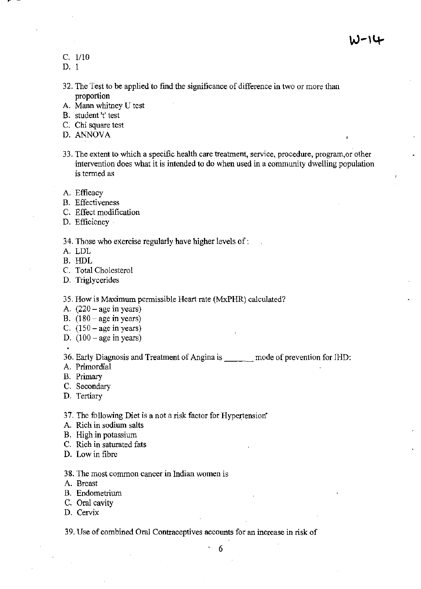C. 1110

D. I

- 32. The Test to be applied to find the significance of difference in two or more than **proportion**
- A. Mann whitney U test
- **B. student It' test**
- C. Chi square test
- D. ANNOVA
- **33. The extent to which a specific health care treatment, service, procedure, prograrn,or other intervention does what it is intended to do when used in a community dwelling population is termed as**
- **A. Efficacy**
- **B. Effectiveness**
- **C. Effect modification**
- **D. Efficiency**

### **34. Those who exercise regularly have higher levels of:**

- A. LDL
- B. HDL
- C. Total Cholesterol
- **D. Triglycerides**

35. How is Maximum permissible Heart rate (MxPHR) calculated?

- A.  $(220 \text{age in years})$
- B.  $(180 age in years)$
- C.  $(150 age in years)$
- D.  $(100 age in years)$

**36. Early Diagnosis and Treatment of Angina is** \_\_\_ **mode of prevention for IHD:** 

- A. Primordial
- B. Primary
- C. Secondary
- **D. Tertiary**

37. The following Diet is a not a risk factor for Hypertension<sup>\*</sup>

- **A Rich in sodium salts**
- B. High in potassium
- C. Rich in saturated fats
- **D. Low in fibre**
- **38. The most common cancer in Indian women is**
- **A. Breast**
- **B. Endometrium**
- C. Oral cavity
- **D. Cervix**

**39. Use of combined Oral Contraceptives accounts for an increase in risk of** 

. 6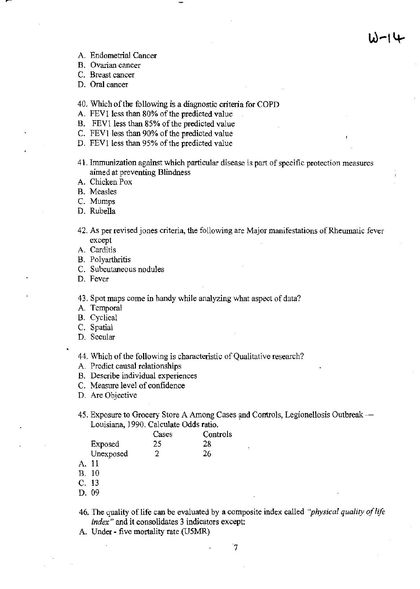- **A. Endometrial Cancer**
- **B. Ovarian cancer**
- **C. Breast cancer**
- **D. Oral cancer**
- 40. Which of the following is a diagnostic criteria for COPD
- A. FEV1 less than 80% of the predicted value
- B. FEV1 less than 85% of the predicted value
- C. FEV1 less than 90% of the predicted value
- D. FEV1 less than 95% of the predicted value
- **41. Immunization against which particular disease is part of specific protection measures aimed at preventing Blindness**
- A. Chicken Pox
- **B. Measles**
- C. Mumps
- D. Rubella
- **42. As per revised jones criteria, the following are Major manifestations** of Rheumatic **fever except**
- A. Carditis
- B. Polyarthritis
- **C. Subcutaneous nodules**
- **D. Fever**

**43. Spot maps come in bandy while analyzing what aspect of data?** 

- A. Temporal
- B. Cyclical
- C. Spatial
- **D. Secular**
- **44. Which ofthe following is characteristic** of Qualitative **research?**
- **A. Predict causal relationships**
- **B. Describe individual experiences**
- **C. Measure level of confidence**
- **D. Are Objective**

45. Exposure to Grocery Store A Among Cases and Controls, Legionellosis Outbreak — Louisiana, 1990. Calculate Odds ratio.

|       |              | Cases | Controls |
|-------|--------------|-------|----------|
|       | Exposed      | 25    | 28       |
|       | Unexposed    | 2     | 26       |
| A. 11 |              |       |          |
|       | <b>B.</b> 10 |       |          |
|       | C. 13        |       |          |
| D.    | 09           |       |          |

- 46. The quality of life can be evaluated by a composite index called "*physical quality of life index"* **and it consolidates 3 indicators except:**
- A. Under five mortality rate (U5MR)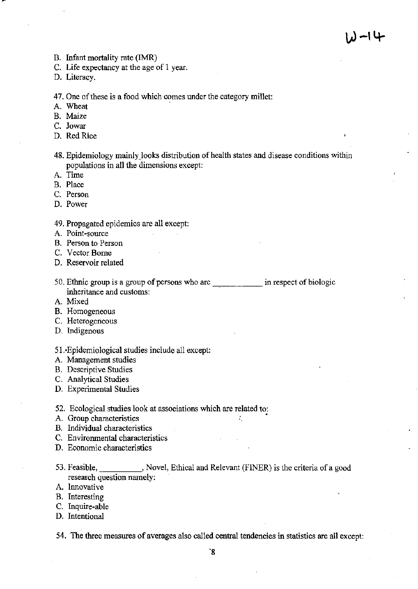- B. Infant mortality rate (IMR)
- C. Life expectancy at the age of 1 year.

D. Literacy.

#### 47. One of these is a food which comes under the category millet:

A. Wheat

B. Maize

- C. Jowar
- D. Red Rice

48. Epidemiology mainly looks distribution of health states and disease conditions within populations in all the dimensions except:

- A. Time
- B. Place
- C. Person
- D. Power
- 49. Propagated epidemics are all except:
- A. Point-source
- B. Person to Person
- C. Vector Borne
- D. Reservoir related
- 50. Ethnic group is a group of persons who are \_\_\_\_\_\_\_\_\_\_\_\_ in respect of biologic inheritance and customs:
- A. Mixed
- B. Homogeneous
- C. Heterogeneous
- D. Indigenous

51.·Epidemiological studies include all except:

- A. Management studies
- B. Descriptive Studies
- C. Analytical Studies
- D. Experimental Studies
- 52. Ecological studies look at associations which are related to:
- A. Group characteristics •
- B. Individual characteristics
- C. Environmental characteristics
- D. Economic characteristics
- 53. Feasible, Novel, Ethical and Relevant (FINER) is the criteria of a good research question namely:
- A. Innovative
- B. Interesting
- C. Inquire-able
- D. Intentional

54. The three measures of averages also called central tendencies in statistics are all except: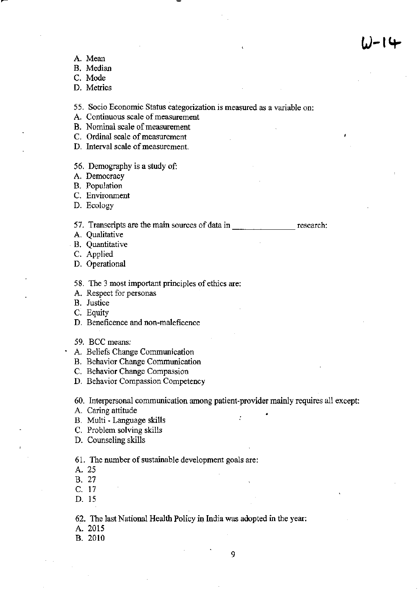- A. Mean
- B. Median
- C. Mode
- **D. Metrics**

**55. Socio Economic Status categorization is measured as a variable on:** 

- **A. Continuous scale of measurement**
- **B. Nominal scale of measurement**
- **C. Ordinal scale** of measurement
- **D. Interval scale of measurement.**
- 56. Demography is a study of:
- **A. Democracy**
- B. Population
- **C. Environment**
- D. Ecology

**57. Transcripts are the main sources of data in** \_\_\_\_\_\_\_ **research:** 

- **A. Qualitative**
- **B. Quantitative**
- C. Applied
- D. Operational
- **58. The 3 most important principles of ethics are:**
- **A. Respect for personas**
- **B. Justice**
- C. Equity
- **D. Beneficence and non-maleficence**
- 59. BCC means:
- **A. Beliefs Change Communication**
- **B. Behavior Change Communication**
- **C. Behavior Change Compassion**
- **D. Behavior Compassion Competency**

**60. Interpersonal communication among patient-provider mainly requires all except:** 

- A. Caring attitude
- B. Multi Language skills
- C. Problem solving skills
- D. Counseling skills

61. The number of sustainable development goals are:

- A.25
- B. 27
- C. 17
- D. 15

62. The last National Health Policy in India was adopted in the year:

A. 2015

B. 2010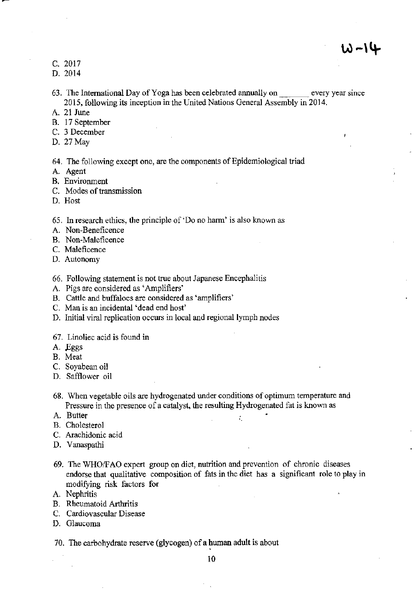$W - 14$ 

- C. 2017
- D. 2014
- 63. The International Day of Yoga has been celebrated annually on every year since 2015, following its inception in-the United Nations General Assembly in 2014.
- A. 21 June
- B. 17 September
- C. 3 December
- D.27May

64. The following except one, are the components of Epidemiological triad

- A. Agent
- B. Environment
- C. Modes of transmission
- D. Host

*65.* In research ethics, the principle of 'Do no harm' is also known as

- A. Non-Beneficence
- B. Non-Maleficence
- C. Maleficence
- D. Autonomy
- 66. Following statement is not true about Japanese Encephalitis
- A. Pigs are considered as 'Amplifiers'
- B. Cattle and buffaloes are considered as 'amplifiers'
- C. Man is an incidental 'dead end host'
- D. Initial viral replication occurs in local and regional lymph nodes
- 67. Linoliec acid is found in
- A. Eggs
- B. Meat
- C. Soyabean oil
- D. Safflower oil
- 68. When vegetable oils are hydrogenated under conditions of optimum temperature and Pressure in the presence of a catalyst, the resulting Hydrogenated fat is known as
- A. Butter  $\qquad \qquad \ldots$
- B. Cholesterol
- C. Arachidonic acid
- D. Vanaspathi
- 69. The WHOIF AO expert group on diet, nutrition and prevention of chronic diseases endorse that qualitative composition of fats in the diet has a significant role to play in modifying risk factors for
- A. Nephritis
- B. Rheumatoid Arthritis
- C. Cardiovascular Disease
- D. Glaucoma

70. The carbohydrate reserve (glycogen) of a human adult is about

10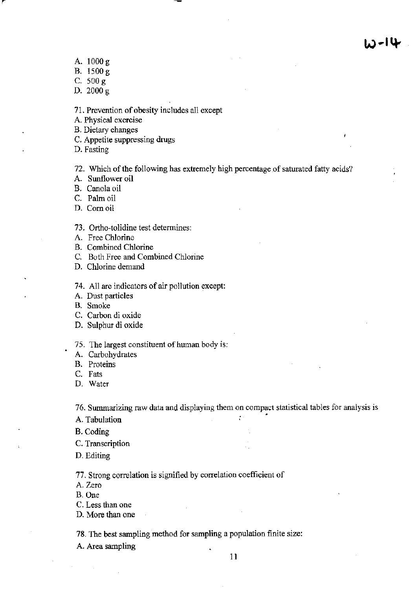- A. 1000 g
- B. 1500 g
- C. 500 g
- D. 2000 g

71. Prevention of obesity includes all except

- A. Physical exercise
- B. Dietary changes
- C. Appetite suppressing drugs
- D. Fasting

72. Which of the following has extremely high percentage of saturated fatty acids?

A. Sunflower oil

B. Canola oil

C. Palm oil

D. Comoil

#### 73. Ortho-tolidine test determines:

A. Free Chlorine

B. Combined Chlorine

- C. Both Free and Combined Chlorine
- D. Chlorine demand

74. All are indicators of air pollution except:

- A. Dust particles
- B. Smoke

C. Carbon di oxide

- D. Sulphur di oxide
- 75. The largest constituent of human body is:
- A. Carbohydrates
- B. Proteins
- C. Fats
- D. Water

76. Summarizing raw data and displaying them on compact statistical tables for analysis is A. Tabulation

B. Coding

- C. Transcription
- D. Editing

77. Strong correlation is signified by correlation coefficient of

- A. Zero
- B. One
- C. Less than one
- D. More than one

78. The best sampling method for sampling a population finite size:

A. Area sampling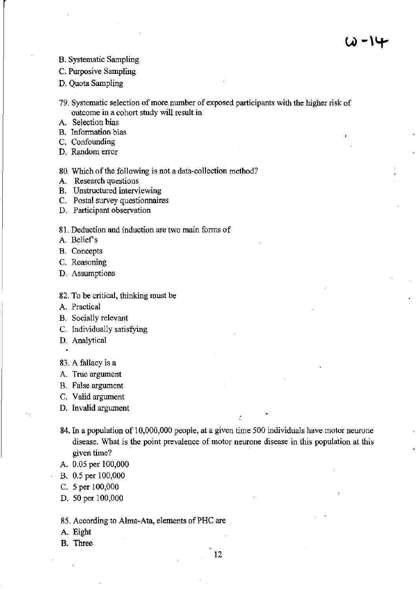B. Systematic Sampling

C. Purposive Sampling

D. Quota Sampling

- **79. Systematic selection of more. number of exposed participants with the higher risk of outcome in a cohort study will result in**
- A. Selection bias
- **B.** Information bias
- C. Confounding
- **D. Random error**
- 80. Which of the following is not a data-collection method?
- **A. Research questions**
- **B. Unstructured interviewing**
- **C. Postal survey questionnaires**
- **D. Participant observation**
- **81. Deduction and induction are two main forms of**
- A. Belief's
- **B. Concepts**
- C. **Reasoning**
- **D. Assumptions**
- 82. To be critical, thinking must be
- **A. Practical**
- B. Socially relevant
- C. Individually satisfying
- D. Analytical
- 83. A fallacy is a
- **A. True argument**
- B. False argument
- C. Valid argument
- **D. Invalid argument**
- **84. In a population of 10,000,000 people, at a given time 500 individuals have motor neurone disease. What is the point prevalence of motor neurone disease in this population at this given time?**
- A. 0.05 per 100,000
- B. 0.5 per 100,000
- C. 5 per 100,000
- D. 50 per 100,000
- 85. According to Alma-Ata, elements of PHC are
- A. Eight
- B. Three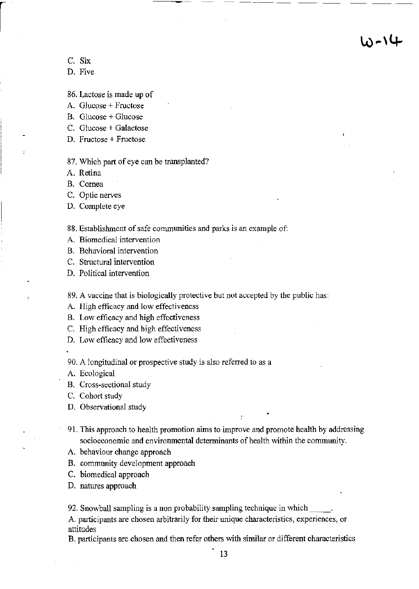10-14

C. Six

D. Five

86. Lactose is made up of

A. Glucose + Fructose

B. Glucose + Glucose

C. Glucose + Galactose

D. Fructose + Fructose

87. Which part of eye can be transplanted?

A. Retina

B. Cornea

C. Optic nerves

D. Complete eye

88. Establishment of safe communities and parks is an example of:

A. Biomedical intervention

B. Behavioral intervention

C. Structural intervention

D. Political intervention

89. A vaccine that is biologically protective but not accepted by the public has:

A. High efficacy and low effectiveness

B. Low efficacy and high effectiveness

C. High efficacy and high effectiveness

D. Low efficacy and low effectiveness

90. A longitudinal or prospective study is also referred to as a

A. Ecological

B. Cross-sectional study

C. Cohort study

D. Observational study

91. This approach to health promotion aims to improve and promote health by addressing socioeconomic and enviromnental determinants of health within the community.

A. behaviour change approach

B. community development approach

C. biomedical approach

D. natures approach

92. Snowball sampling is a non probability sampling technique in which

A. participants are chosen arbitrarily for their unique characteristics, experiences, or attitudes

B. participants are chosen and then refer others with similar or different characteristics

13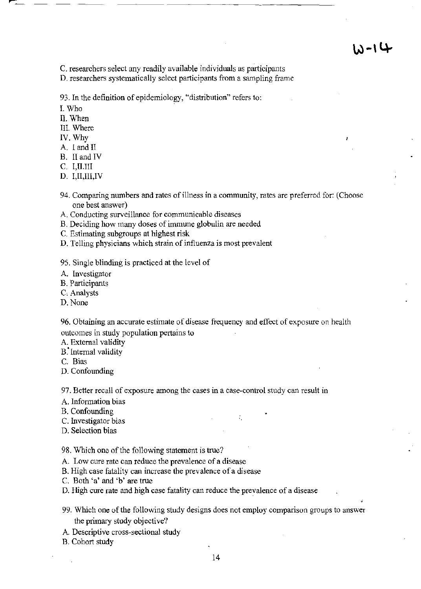C. researchers select any readily available individuals as participants

D. researchers systematically select participants from a sampling frame

93. **In** the definition of epidemiology, "distribution" refers to:

- I. Who
- II. When
- III. Where
- IV. Why
- A. I and II
- B. II and IV
- C. I.II.III
- D. I,II,III,IV
- 94. Comparing numbers and rates of illness in a community, rates are preferred for: (Choose one best answer)
- A. Conducting surveillance for communicable diseases
- B. Deciding how many doses of immune globulin are needed
- C. Estimating subgroups at highest risk
- D. Telling physicians which strain of influenza is most prevalent
- 95. Single blinding is practiced at the level of
- A. Investigator
- B. Participants
- C. Analysts
- D. None

96. Obtaining an accurate estimate of disease frequency and effect of exposure on health outcomes in study population pertains to

A. External validity

- B. Internal validity
- C. Bias
- D. Confounding

97. Better recall of exposure among the cases in a case-control study can result in

- A. Information bias
- B. Confounding
- C. Investigator bias '.
- D. Selection bias

98. Which one of the following statement is true?

- A. Low cure rate can reduce the prevalence of a disease
- B. High case fatality can increase the prevalence of a disease
- C. Both 'a' and 'b' are true
- D. High cure rate and high case fatality can reduce the prevalence of a disease
- 99. Which one of the following study designs does not employ comparison groups to answer the primary study objective?
- A Descriptive cross-sectional study

B. Cohort study